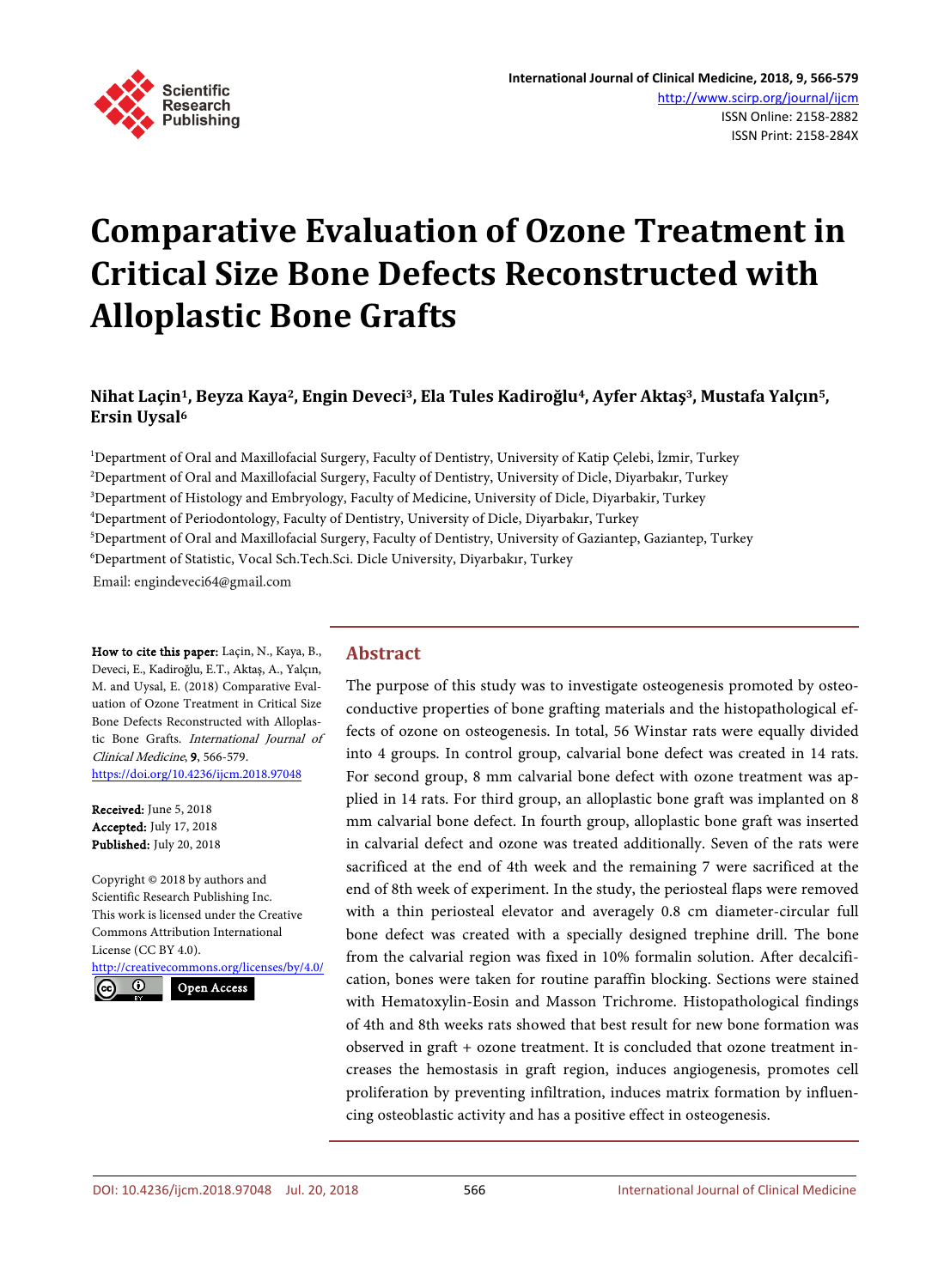

# **Comparative Evaluation of Ozone Treatment in Critical Size Bone Defects Reconstructed with Alloplastic Bone Grafts**

# **Nihat Laçin1, Beyza Kaya2, Engin Deveci3, Ela Tules Kadiroğlu4, Ayfer Aktaş3, Mustafa Yalçın5, Ersin Uysal6**

 Department of Oral and Maxillofacial Surgery, Faculty of Dentistry, University of Katip Çelebi, İzmir, Turkey Department of Oral and Maxillofacial Surgery, Faculty of Dentistry, University of Dicle, Diyarbakır, Turkey Department of Histology and Embryology, Faculty of Medicine, University of Dicle, Diyarbakir, Turkey Department of Periodontology, Faculty of Dentistry, University of Dicle, Diyarbakır, Turkey Department of Oral and Maxillofacial Surgery, Faculty of Dentistry, University of Gaziantep, Gaziantep, Turkey Department of Statistic, Vocal Sch.Tech.Sci. Dicle University, Diyarbakır, Turkey Email: engindeveci64@gmail.com

How to cite this paper: Laçin, N., Kaya, B., Deveci, E., Kadiroğlu, E.T., Aktaş, A., Yalçın, M. and Uysal, E. (2018) Comparative Evaluation of Ozone Treatment in Critical Size Bone Defects Reconstructed with Alloplastic Bone Grafts. International Journal of Clinical Medicine, 9, 566-579. <https://doi.org/10.4236/ijcm.2018.97048>

Received: June 5, 2018 Accepted: July 17, 2018 Published: July 20, 2018

Copyright © 2018 by authors and Scientific Research Publishing Inc. This work is licensed under the Creative Commons Attribution International License (CC BY 4.0). <http://creativecommons.org/licenses/by/4.0/>

Open Access

# **Abstract**

The purpose of this study was to investigate osteogenesis promoted by osteoconductive properties of bone grafting materials and the histopathological effects of ozone on osteogenesis. In total, 56 Winstar rats were equally divided into 4 groups. In control group, calvarial bone defect was created in 14 rats. For second group, 8 mm calvarial bone defect with ozone treatment was applied in 14 rats. For third group, an alloplastic bone graft was implanted on 8 mm calvarial bone defect. In fourth group, alloplastic bone graft was inserted in calvarial defect and ozone was treated additionally. Seven of the rats were sacrificed at the end of 4th week and the remaining 7 were sacrificed at the end of 8th week of experiment. In the study, the periosteal flaps were removed with a thin periosteal elevator and averagely 0.8 cm diameter-circular full bone defect was created with a specially designed trephine drill. The bone from the calvarial region was fixed in 10% formalin solution. After decalcification, bones were taken for routine paraffin blocking. Sections were stained with Hematoxylin-Eosin and Masson Trichrome. Histopathological findings of 4th and 8th weeks rats showed that best result for new bone formation was observed in graft + ozone treatment. It is concluded that ozone treatment increases the hemostasis in graft region, induces angiogenesis, promotes cell proliferation by preventing infiltration, induces matrix formation by influencing osteoblastic activity and has a positive effect in osteogenesis.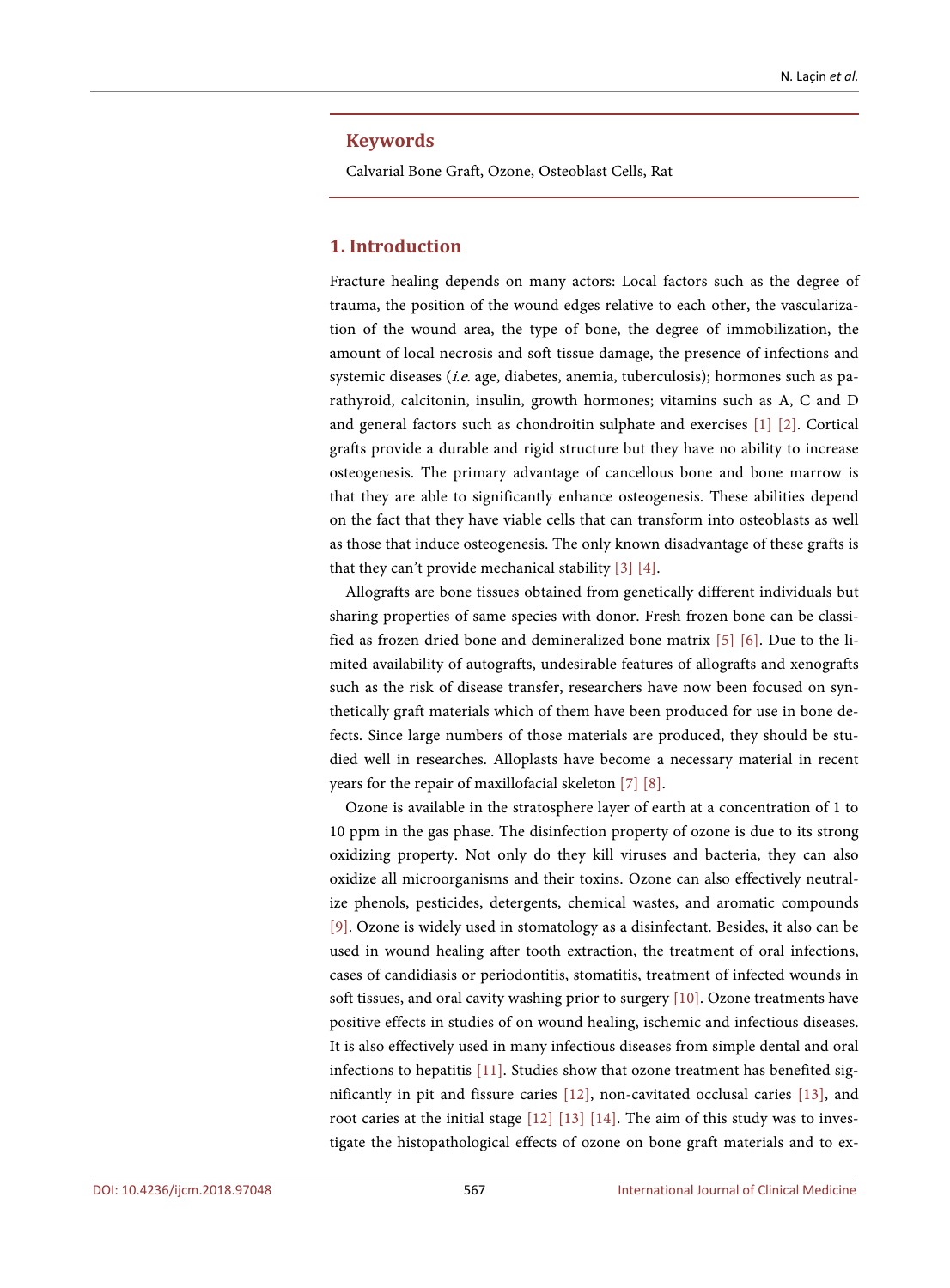#### **Keywords**

Calvarial Bone Graft, Ozone, Osteoblast Cells, Rat

## **1. Introduction**

Fracture healing depends on many actors: Local factors such as the degree of trauma, the position of the wound edges relative to each other, the vascularization of the wound area, the type of bone, the degree of immobilization, the amount of local necrosis and soft tissue damage, the presence of infections and systemic diseases (i.e. age, diabetes, anemia, tuberculosis); hormones such as parathyroid, calcitonin, insulin, growth hormones; vitamins such as A, C and D and general factors such as chondroitin sulphate and exercises [\[1\]](#page-12-0) [\[2\].](#page-12-1) Cortical grafts provide a durable and rigid structure but they have no ability to increase osteogenesis. The primary advantage of cancellous bone and bone marrow is that they are able to significantly enhance osteogenesis. These abilities depend on the fact that they have viable cells that can transform into osteoblasts as well as those that induce osteogenesis. The only known disadvantage of these grafts is that they can't provide mechanical stability [\[3\]](#page-12-2) [\[4\].](#page-12-3)

Allografts are bone tissues obtained from genetically different individuals but sharing properties of same species with donor. Fresh frozen bone can be classified as frozen dried bone and demineralized bone matrix [\[5\]](#page-12-4) [\[6\].](#page-12-5) Due to the limited availability of autografts, undesirable features of allografts and xenografts such as the risk of disease transfer, researchers have now been focused on synthetically graft materials which of them have been produced for use in bone defects. Since large numbers of those materials are produced, they should be studied well in researches. Alloplasts have become a necessary material in recent years for the repair of maxillofacial skeleton [\[7\]](#page-12-6) [\[8\].](#page-12-7)

Ozone is available in the stratosphere layer of earth at a concentration of 1 to 10 ppm in the gas phase. The disinfection property of ozone is due to its strong oxidizing property. Not only do they kill viruses and bacteria, they can also oxidize all microorganisms and their toxins. Ozone can also effectively neutralize phenols, pesticides, detergents, chemical wastes, and aromatic compounds [\[9\].](#page-12-8) Ozone is widely used in stomatology as a disinfectant. Besides, it also can be used in wound healing after tooth extraction, the treatment of oral infections, cases of candidiasis or periodontitis, stomatitis, treatment of infected wounds in soft tissues, and oral cavity washing prior to surgery [\[10\].](#page-12-9) Ozone treatments have positive effects in studies of on wound healing, ischemic and infectious diseases. It is also effectively used in many infectious diseases from simple dental and oral infections to hepatitis [\[11\].](#page-12-10) Studies show that ozone treatment has benefited significantly in pit and fissure caries [\[12\],](#page-12-11) non-cavitated occlusal caries [\[13\],](#page-12-12) and root caries at the initial stage [\[12\]](#page-12-11) [\[13\]](#page-12-12) [\[14\].](#page-12-13) The aim of this study was to investigate the histopathological effects of ozone on bone graft materials and to ex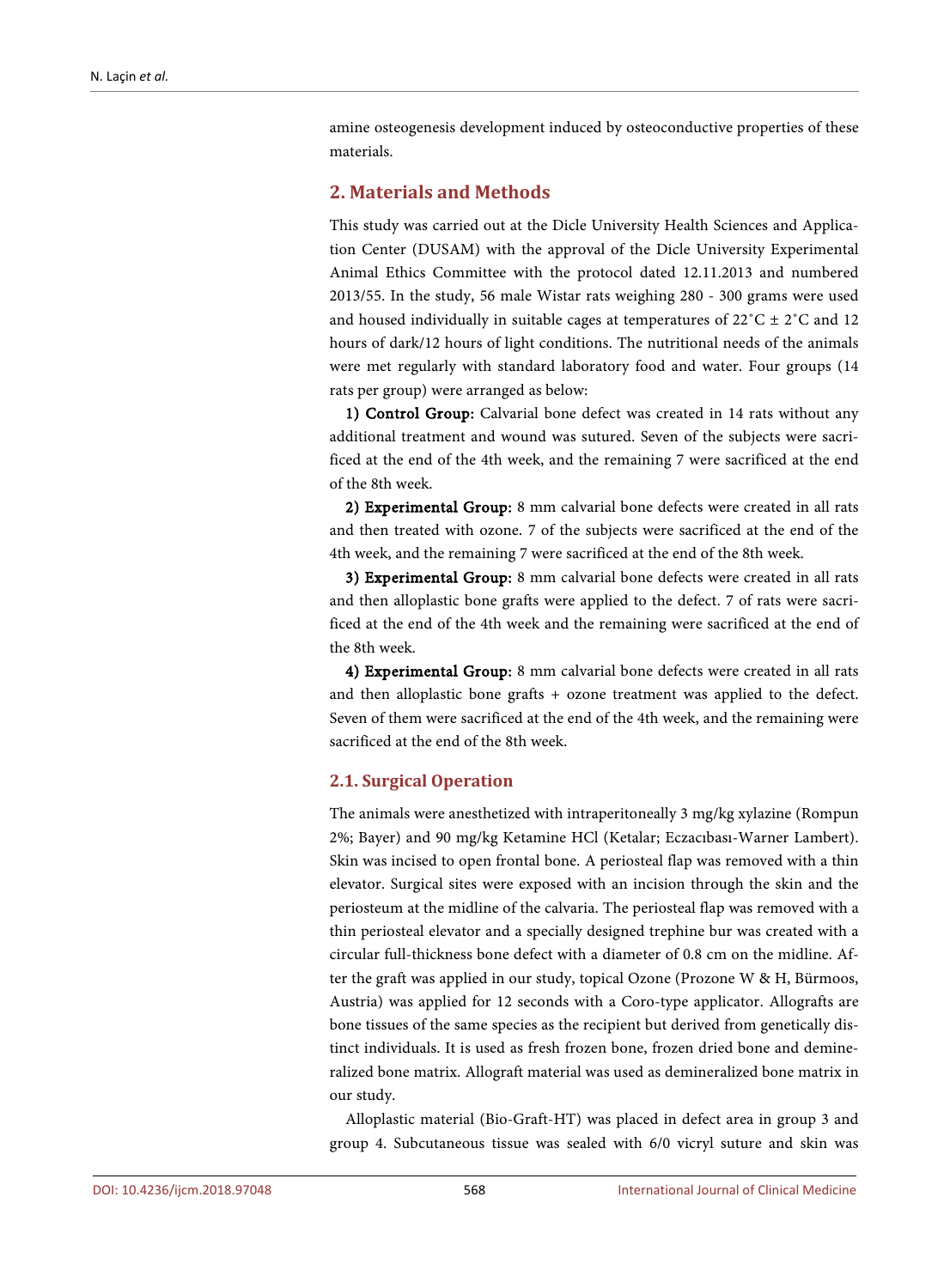amine osteogenesis development induced by osteoconductive properties of these materials.

## **2. Materials and Methods**

This study was carried out at the Dicle University Health Sciences and Application Center (DUSAM) with the approval of the Dicle University Experimental Animal Ethics Committee with the protocol dated 12.11.2013 and numbered 2013/55. In the study, 56 male Wistar rats weighing 280 - 300 grams were used and housed individually in suitable cages at temperatures of  $22^{\circ}C \pm 2^{\circ}C$  and 12 hours of dark/12 hours of light conditions. The nutritional needs of the animals were met regularly with standard laboratory food and water. Four groups (14 rats per group) were arranged as below:

1) Control Group: Calvarial bone defect was created in 14 rats without any additional treatment and wound was sutured. Seven of the subjects were sacrificed at the end of the 4th week, and the remaining 7 were sacrificed at the end of the 8th week.

2) Experimental Group: 8 mm calvarial bone defects were created in all rats and then treated with ozone. 7 of the subjects were sacrificed at the end of the 4th week, and the remaining 7 were sacrificed at the end of the 8th week.

3) Experimental Group: 8 mm calvarial bone defects were created in all rats and then alloplastic bone grafts were applied to the defect. 7 of rats were sacrificed at the end of the 4th week and the remaining were sacrificed at the end of the 8th week.

4) Experimental Group: 8 mm calvarial bone defects were created in all rats and then alloplastic bone grafts + ozone treatment was applied to the defect. Seven of them were sacrificed at the end of the 4th week, and the remaining were sacrificed at the end of the 8th week.

## **2.1. Surgical Operation**

The animals were anesthetized with intraperitoneally 3 mg/kg xylazine (Rompun 2%; Bayer) and 90 mg/kg Ketamine HCl (Ketalar; Eczacıbası-Warner Lambert). Skin was incised to open frontal bone. A periosteal flap was removed with a thin elevator. Surgical sites were exposed with an incision through the skin and the periosteum at the midline of the calvaria. The periosteal flap was removed with a thin periosteal elevator and a specially designed trephine bur was created with a circular full-thickness bone defect with a diameter of 0.8 cm on the midline. After the graft was applied in our study, topical Ozone (Prozone W & H, Bürmoos, Austria) was applied for 12 seconds with a Coro-type applicator. Allografts are bone tissues of the same species as the recipient but derived from genetically distinct individuals. It is used as fresh frozen bone, frozen dried bone and demineralized bone matrix. Allograft material was used as demineralized bone matrix in our study.

Alloplastic material (Bio-Graft-HT) was placed in defect area in group 3 and group 4. Subcutaneous tissue was sealed with 6/0 vicryl suture and skin was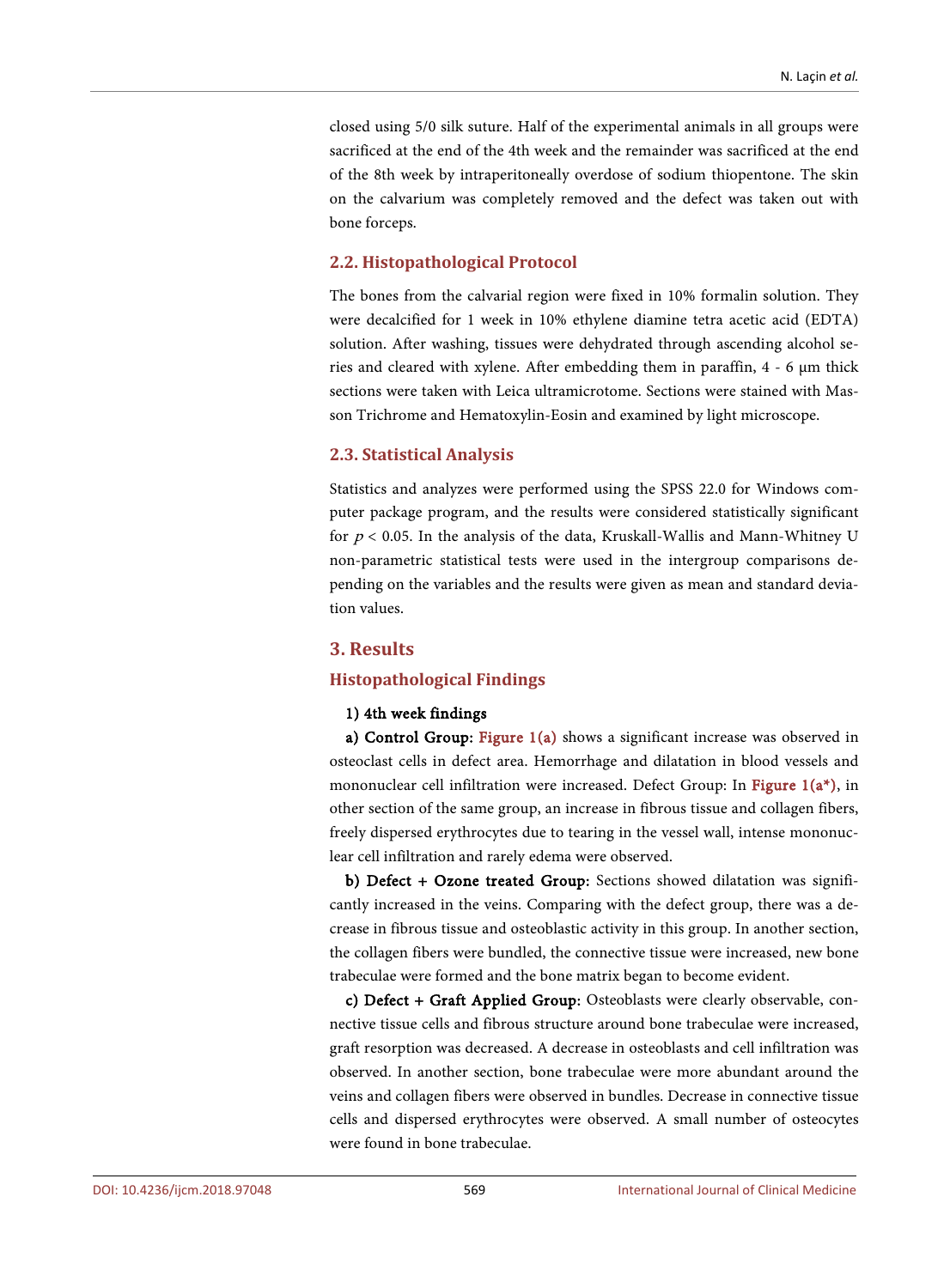closed using 5/0 silk suture. Half of the experimental animals in all groups were sacrificed at the end of the 4th week and the remainder was sacrificed at the end of the 8th week by intraperitoneally overdose of sodium thiopentone. The skin on the calvarium was completely removed and the defect was taken out with bone forceps.

#### **2.2. Histopathological Protocol**

The bones from the calvarial region were fixed in 10% formalin solution. They were decalcified for 1 week in 10% ethylene diamine tetra acetic acid (EDTA) solution. After washing, tissues were dehydrated through ascending alcohol series and cleared with xylene. After embedding them in paraffin, 4 - 6 μm thick sections were taken with Leica ultramicrotome. Sections were stained with Masson Trichrome and Hematoxylin-Eosin and examined by light microscope.

#### **2.3. Statistical Analysis**

Statistics and analyzes were performed using the SPSS 22.0 for Windows computer package program, and the results were considered statistically significant for  $p < 0.05$ . In the analysis of the data, Kruskall-Wallis and Mann-Whitney U non-parametric statistical tests were used in the intergroup comparisons depending on the variables and the results were given as mean and standard deviation values.

## **3. Results**

#### **Histopathological Findings**

#### 1) 4th week findings

a) Control Group: [Figure 1\(a\)](#page-4-0) shows a significant increase was observed in osteoclast cells in defect area. Hemorrhage and dilatation in blood vessels and mononuclear cell infiltration were increased. Defect Group: In Figure  $1(a^*)$ , in other section of the same group, an increase in fibrous tissue and collagen fibers, freely dispersed erythrocytes due to tearing in the vessel wall, intense mononuclear cell infiltration and rarely edema were observed.

b) Defect + Ozone treated Group: Sections showed dilatation was significantly increased in the veins. Comparing with the defect group, there was a decrease in fibrous tissue and osteoblastic activity in this group. In another section, the collagen fibers were bundled, the connective tissue were increased, new bone trabeculae were formed and the bone matrix began to become evident.

c) Defect + Graft Applied Group: Osteoblasts were clearly observable, connective tissue cells and fibrous structure around bone trabeculae were increased, graft resorption was decreased. A decrease in osteoblasts and cell infiltration was observed. In another section, bone trabeculae were more abundant around the veins and collagen fibers were observed in bundles. Decrease in connective tissue cells and dispersed erythrocytes were observed. A small number of osteocytes were found in bone trabeculae.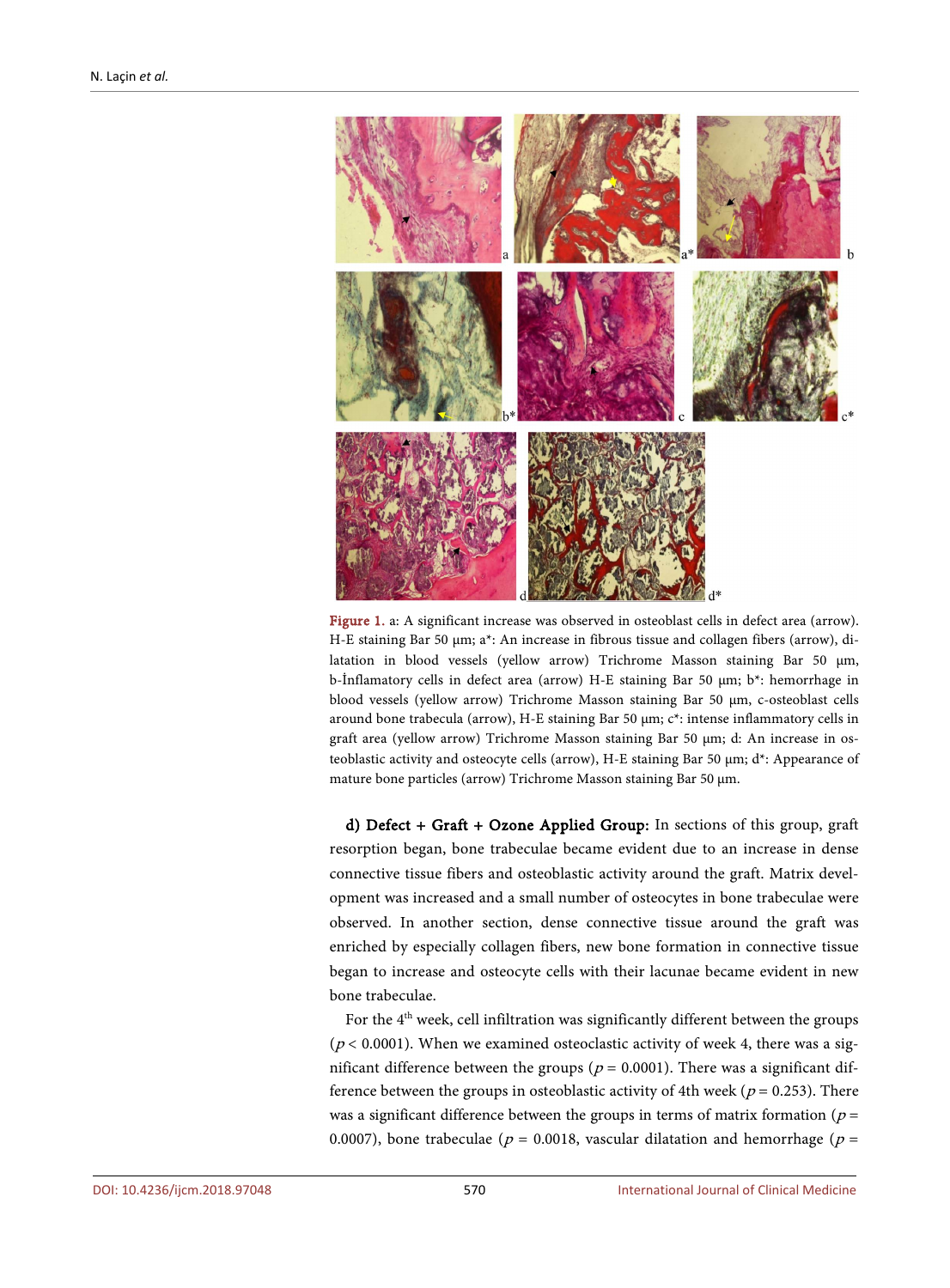<span id="page-4-0"></span>

Figure 1. a: A significant increase was observed in osteoblast cells in defect area (arrow). H-E staining Bar 50 µm; a\*: An increase in fibrous tissue and collagen fibers (arrow), dilatation in blood vessels (yellow arrow) Trichrome Masson staining Bar 50 µm, b-İnflamatory cells in defect area (arrow) H-E staining Bar 50 µm; b\*: hemorrhage in blood vessels (yellow arrow) Trichrome Masson staining Bar 50 µm, c-osteoblast cells around bone trabecula (arrow), H-E staining Bar 50 µm; c\*: intense inflammatory cells in graft area (yellow arrow) Trichrome Masson staining Bar 50 µm; d: An increase in osteoblastic activity and osteocyte cells (arrow), H-E staining Bar 50 µm; d\*: Appearance of mature bone particles (arrow) Trichrome Masson staining Bar 50 µm.

d) Defect + Graft + Ozone Applied Group: In sections of this group, graft resorption began, bone trabeculae became evident due to an increase in dense connective tissue fibers and osteoblastic activity around the graft. Matrix development was increased and a small number of osteocytes in bone trabeculae were observed. In another section, dense connective tissue around the graft was enriched by especially collagen fibers, new bone formation in connective tissue began to increase and osteocyte cells with their lacunae became evident in new bone trabeculae.

For the  $4<sup>th</sup>$  week, cell infiltration was significantly different between the groups ( $p$  < 0.0001). When we examined osteoclastic activity of week 4, there was a significant difference between the groups ( $p = 0.0001$ ). There was a significant difference between the groups in osteoblastic activity of 4th week ( $p = 0.253$ ). There was a significant difference between the groups in terms of matrix formation ( $p =$ 0.0007), bone trabeculae ( $p = 0.0018$ , vascular dilatation and hemorrhage ( $p =$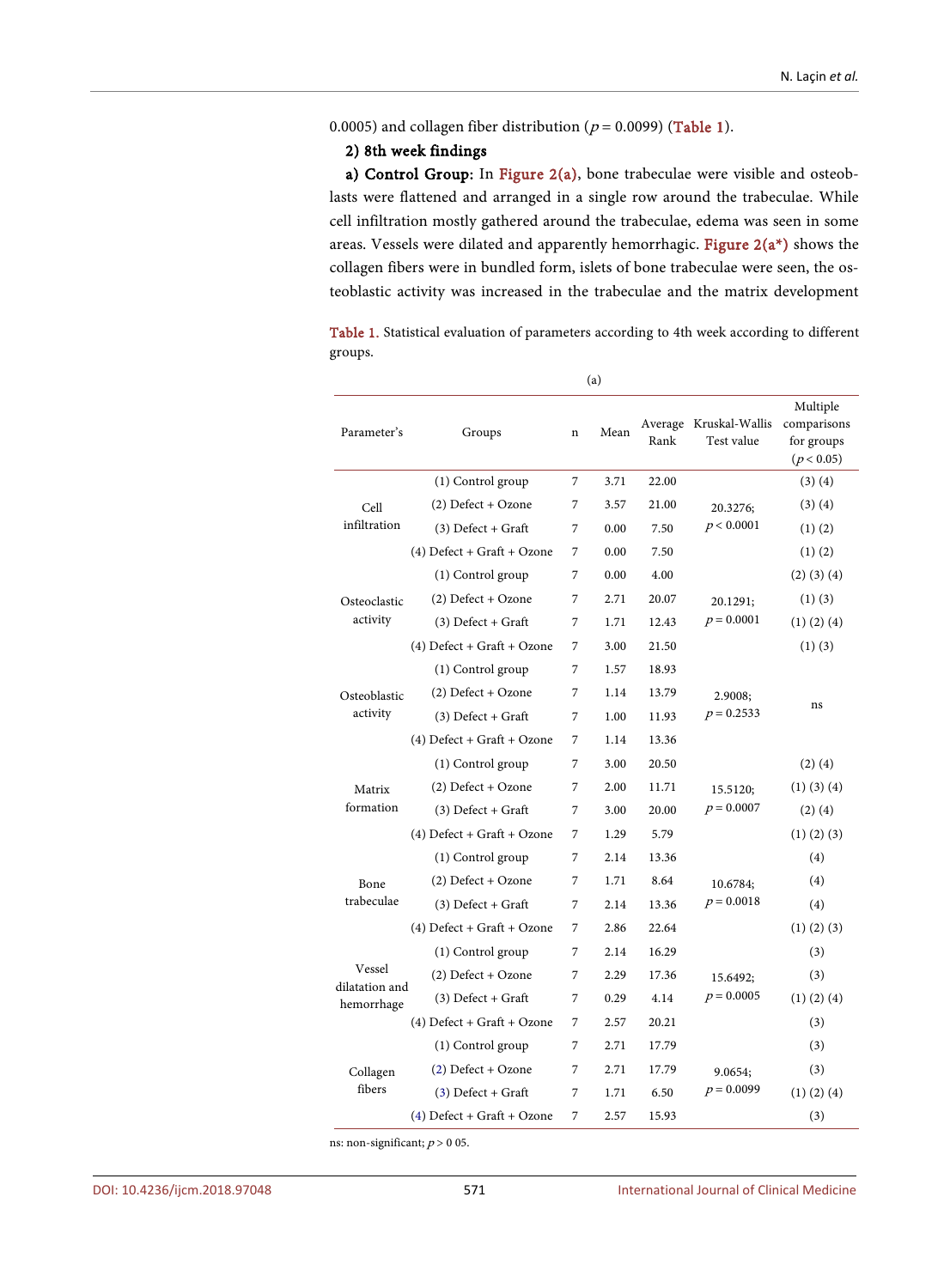0.0005) and collagen fiber distribution ( $p = 0.0099$ ) [\(Table 1\)](#page-5-0).

### 2) 8th week findings

a) Control Group: In [Figure 2\(a\),](#page-6-0) bone trabeculae were visible and osteoblasts were flattened and arranged in a single row around the trabeculae. While cell infiltration mostly gathered around the trabeculae, edema was seen in some areas. Vessels were dilated and apparently hemorrhagic. [Figure 2\(a\\*\)](#page-6-0) shows the collagen fibers were in bundled form, islets of bone trabeculae were seen, the osteoblastic activity was increased in the trabeculae and the matrix development

<span id="page-5-0"></span>Table 1. Statistical evaluation of parameters according to 4th week according to different groups.

| Parameter's                  | Groups                       | $\mathbf n$ | Mean | Rank  | Average Kruskal-Wallis<br>Test value | Multiple<br>comparisons<br>for groups<br>(p < 0.05) |  |
|------------------------------|------------------------------|-------------|------|-------|--------------------------------------|-----------------------------------------------------|--|
|                              | (1) Control group            | 7           | 3.71 | 22.00 |                                      | (3)(4)                                              |  |
| Cell                         | (2) Defect + Ozone           | 7           | 3.57 | 21.00 | 20.3276;                             | (3)(4)                                              |  |
| infiltration                 | $(3)$ Defect + Graft         | 7           | 0.00 | 7.50  | p < 0.0001                           | $(1)$ $(2)$                                         |  |
|                              | $(4)$ Defect + Graft + Ozone | 7           | 0.00 | 7.50  |                                      | $(1)$ $(2)$                                         |  |
|                              | (1) Control group            | 7           | 0.00 | 4.00  |                                      | $(2)$ $(3)$ $(4)$                                   |  |
| Osteoclastic                 | (2) Defect + Ozone           | 7           | 2.71 | 20.07 | 20.1291;                             | $(1)$ $(3)$                                         |  |
| activity                     | $(3)$ Defect + Graft         | 7           | 1.71 | 12.43 | $p = 0.0001$                         | $(1)$ $(2)$ $(4)$                                   |  |
|                              | $(4)$ Defect + Graft + Ozone | 7           | 3.00 | 21.50 |                                      | $(1)$ $(3)$                                         |  |
|                              | (1) Control group            | 7           | 1.57 | 18.93 |                                      |                                                     |  |
| Osteoblastic                 | $(2)$ Defect + Ozone         | 7           | 1.14 | 13.79 | 2.9008:                              | ns                                                  |  |
| activity                     | $(3)$ Defect + Graft         | 7           | 1.00 | 11.93 | $p = 0.2533$                         |                                                     |  |
|                              | $(4)$ Defect + Graft + Ozone | 7           | 1.14 | 13.36 |                                      |                                                     |  |
|                              | (1) Control group            | 7           | 3.00 | 20.50 |                                      | $(2)$ $(4)$                                         |  |
| Matrix                       | $(2)$ Defect + Ozone         | 7           | 2.00 | 11.71 | 15.5120;                             | $(1)$ $(3)$ $(4)$                                   |  |
| formation                    | $(3)$ Defect + Graft         | 7           | 3.00 | 20.00 | $p = 0.0007$                         | $(2)$ $(4)$                                         |  |
|                              | $(4)$ Defect + Graft + Ozone | 7           | 1.29 | 5.79  |                                      | $(1)$ $(2)$ $(3)$                                   |  |
|                              | (1) Control group            | 7           | 2.14 | 13.36 |                                      | (4)                                                 |  |
| Bone                         | $(2)$ Defect + Ozone         | 7           | 1.71 | 8.64  | 10.6784;                             | (4)                                                 |  |
| trabeculae                   | $(3)$ Defect + Graft         | 7           | 2.14 | 13.36 | $p = 0.0018$                         | (4)                                                 |  |
|                              | $(4)$ Defect + Graft + Ozone | 7           | 2.86 | 22.64 |                                      | $(1)$ $(2)$ $(3)$                                   |  |
|                              | (1) Control group            | 7           | 2.14 | 16.29 |                                      | (3)                                                 |  |
| Vessel                       | $(2)$ Defect + Ozone         | 7           | 2.29 | 17.36 | 15.6492;                             | (3)                                                 |  |
| dilatation and<br>hemorrhage | $(3)$ Defect + Graft         | 7           | 0.29 | 4.14  | $p = 0.0005$                         | $(1)$ $(2)$ $(4)$                                   |  |
|                              | $(4)$ Defect + Graft + Ozone | 7           | 2.57 | 20.21 |                                      | (3)                                                 |  |
|                              | (1) Control group            | 7           | 2.71 | 17.79 |                                      | (3)                                                 |  |
| Collagen                     | $(2)$ Defect + Ozone         | 7           | 2.71 | 17.79 | 9.0654;                              | (3)                                                 |  |
| fibers                       | $(3)$ Defect + Graft         | 7           | 1.71 | 6.50  | $p = 0.0099$                         | $(1)$ $(2)$ $(4)$                                   |  |
|                              | $(4)$ Defect + Graft + Ozone | 7           | 2.57 | 15.93 |                                      | (3)                                                 |  |

(a)

ns: non-significant;  $p \negthinspace > \negthinspace 0$ 05.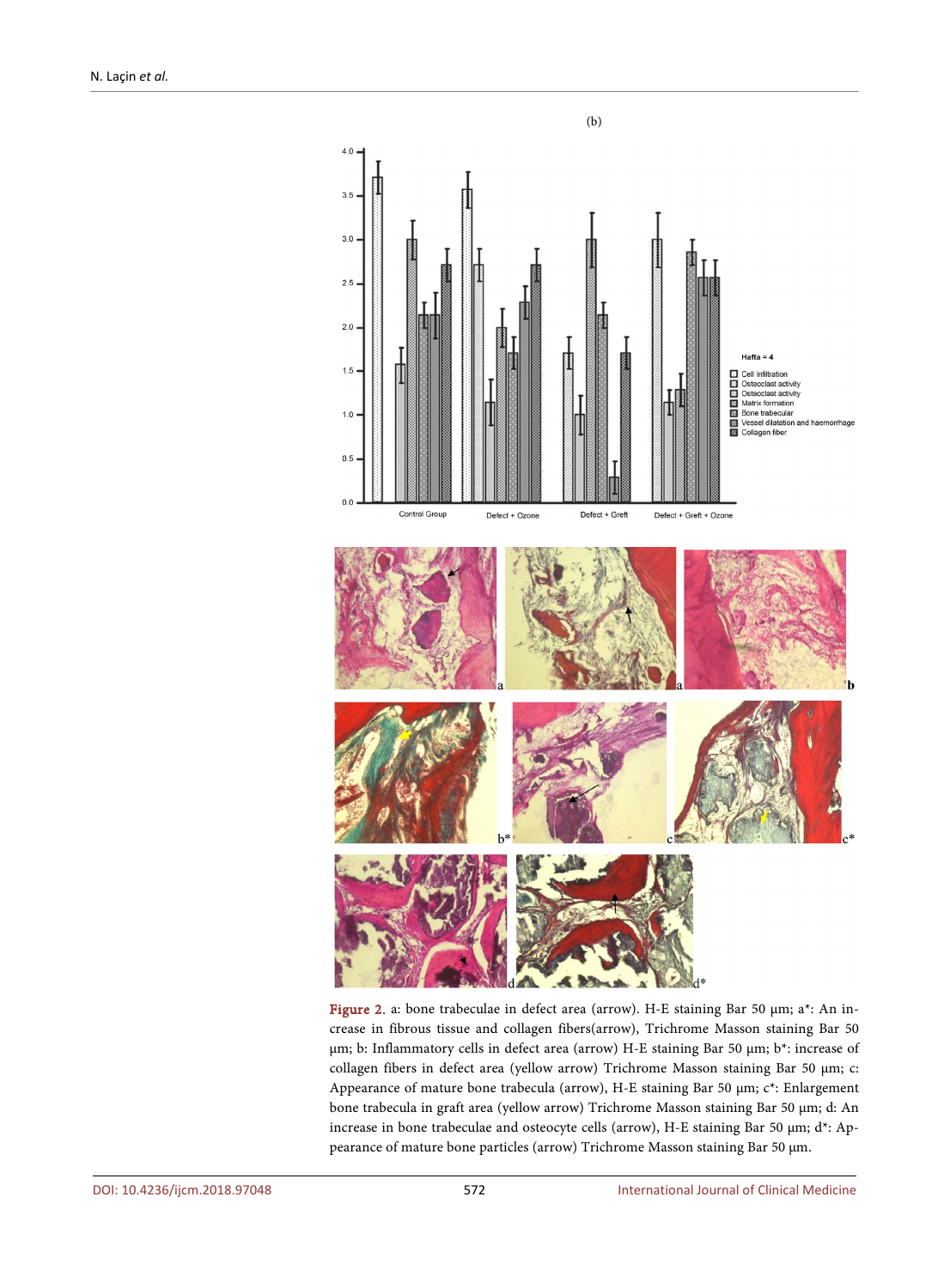<span id="page-6-0"></span>

Figure 2. a: bone trabeculae in defect area (arrow). H-E staining Bar 50 µm; a\*: An increase in fibrous tissue and collagen fibers(arrow), Trichrome Masson staining Bar 50 µm; b: Inflammatory cells in defect area (arrow) H-E staining Bar 50 µm; b\*: increase of collagen fibers in defect area (yellow arrow) Trichrome Masson staining Bar 50 µm; c: Appearance of mature bone trabecula (arrow), H-E staining Bar 50 µm; c\*: Enlargement bone trabecula in graft area (yellow arrow) Trichrome Masson staining Bar 50 µm; d: An increase in bone trabeculae and osteocyte cells (arrow), H-E staining Bar 50 µm; d\*: Appearance of mature bone particles (arrow) Trichrome Masson staining Bar 50 µm.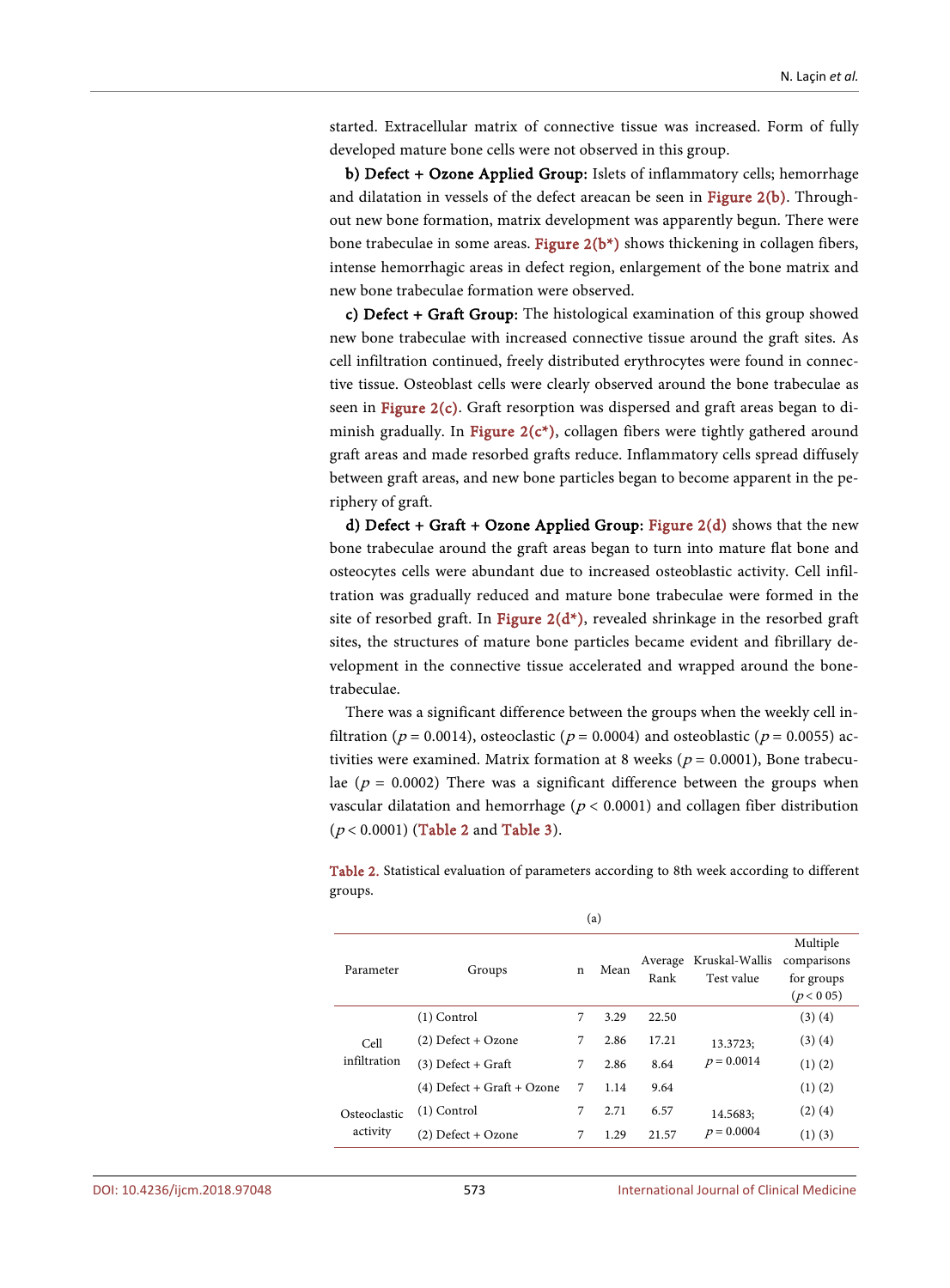started. Extracellular matrix of connective tissue was increased. Form of fully developed mature bone cells were not observed in this group.

b) Defect + Ozone Applied Group: Islets of inflammatory cells; hemorrhage and dilatation in vessels of the defect areacan be seen in [Figure 2\(b\).](#page-6-0) Throughout new bone formation, matrix development was apparently begun. There were bone trabeculae in some areas. Figure  $2(b^*)$  shows thickening in collagen fibers, intense hemorrhagic areas in defect region, enlargement of the bone matrix and new bone trabeculae formation were observed.

c) Defect + Graft Group: The histological examination of this group showed new bone trabeculae with increased connective tissue around the graft sites. As cell infiltration continued, freely distributed erythrocytes were found in connective tissue. Osteoblast cells were clearly observed around the bone trabeculae as seen in [Figure 2\(c\).](#page-6-0) Graft resorption was dispersed and graft areas began to diminish gradually. In Figure  $2(c^*)$ , collagen fibers were tightly gathered around graft areas and made resorbed grafts reduce. Inflammatory cells spread diffusely between graft areas, and new bone particles began to become apparent in the periphery of graft.

d) Defect + Graft + Ozone Applied Group: Figure  $2(d)$  shows that the new bone trabeculae around the graft areas began to turn into mature flat bone and osteocytes cells were abundant due to increased osteoblastic activity. Cell infiltration was gradually reduced and mature bone trabeculae were formed in the site of resorbed graft. In Figure  $2(d^*)$ , revealed shrinkage in the resorbed graft sites, the structures of mature bone particles became evident and fibrillary development in the connective tissue accelerated and wrapped around the bonetrabeculae.

There was a significant difference between the groups when the weekly cell infiltration ( $p = 0.0014$ ), osteoclastic ( $p = 0.0004$ ) and osteoblastic ( $p = 0.0055$ ) activities were examined. Matrix formation at 8 weeks ( $p = 0.0001$ ), Bone trabeculae ( $p = 0.0002$ ) There was a significant difference between the groups when vascular dilatation and hemorrhage ( $p < 0.0001$ ) and collagen fiber distribution  $(p < 0.0001)$  [\(Table 2](#page-7-0) an[d Table 3\)](#page-9-0).

<span id="page-7-0"></span>Table 2. Statistical evaluation of parameters according to 8th week according to different groups.

| Parameter            | Groups                     | $\mathbf n$ | Mean | Average<br>Rank | Kruskal-Wallis<br>Test value | Multiple<br>comparisons<br>for groups<br>(p < 0.05) |
|----------------------|----------------------------|-------------|------|-----------------|------------------------------|-----------------------------------------------------|
|                      | $(1)$ Control              | 7           | 3.29 | 22.50           |                              | (3)(4)                                              |
| Cell<br>infiltration | $(2)$ Defect + Ozone       | 7           | 2.86 | 17.21           | 13.3723:                     | (3)(4)                                              |
|                      | $(3)$ Defect + Graft       | 7           | 2.86 | 8.64            | $p = 0.0014$                 | $(1)$ $(2)$                                         |
|                      | (4) Defect + Graft + Ozone | 7           | 1.14 | 9.64            |                              | $(1)$ $(2)$                                         |
| Osteoclastic         | $(1)$ Control              | 7           | 2.71 | 6.57            | 14.5683:                     | $(2)$ $(4)$                                         |
| activity             | (2) Defect + Ozone         | 7           | 1.29 | 21.57           | $p = 0.0004$                 | $(1)$ $(3)$                                         |
|                      |                            |             |      |                 |                              |                                                     |

(a)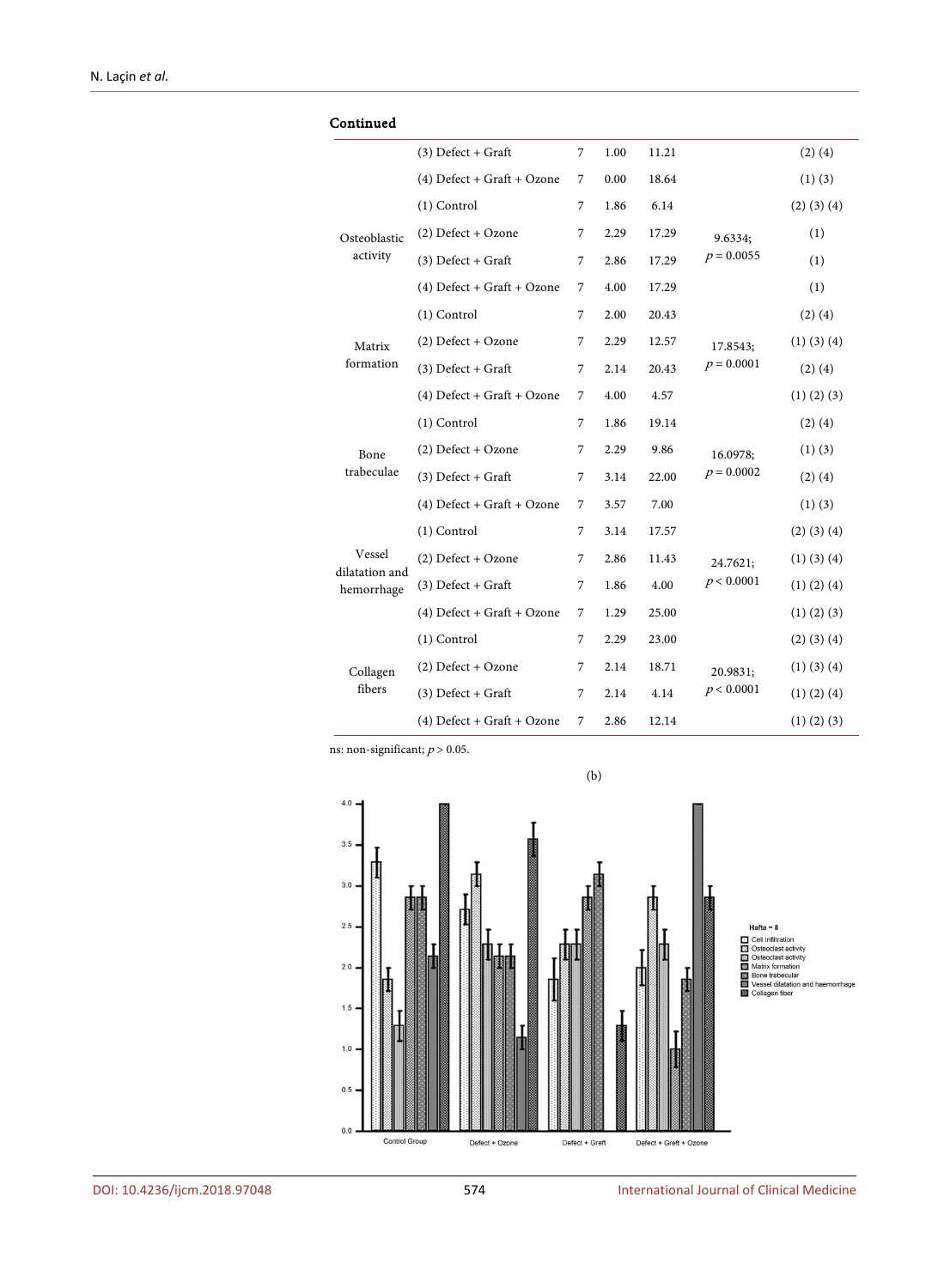| Continued                |                              |                |      |       |              |                   |
|--------------------------|------------------------------|----------------|------|-------|--------------|-------------------|
|                          | $(3)$ Defect + Graft         | 7              | 1.00 | 11.21 |              | $(2)$ $(4)$       |
|                          | $(4)$ Defect + Graft + Ozone | 7              | 0.00 | 18.64 |              | $(1)$ $(3)$       |
|                          | $(1)$ Control                | 7              | 1.86 | 6.14  |              | $(2)$ $(3)$ $(4)$ |
| Osteoblastic             | $(2)$ Defect + Ozone         | 7              | 2.29 | 17.29 | 9.6334;      | (1)               |
| activity                 | $(3)$ Defect + Graft         | 7              | 2.86 | 17.29 | $p = 0.0055$ | (1)               |
|                          | $(4)$ Defect + Graft + Ozone | 7              | 4.00 | 17.29 |              | (1)               |
|                          | (1) Control                  | $\overline{7}$ | 2.00 | 20.43 |              | $(2)$ $(4)$       |
| Matrix                   | $(2)$ Defect + Ozone         | 7              | 2.29 | 12.57 | 17.8543;     | $(1)$ $(3)$ $(4)$ |
| formation                | $(3)$ Defect + Graft         | 7              | 2.14 | 20.43 | $p = 0.0001$ | $(2)$ $(4)$       |
|                          | $(4)$ Defect + Graft + Ozone | 7              | 4.00 | 4.57  |              | $(1)$ $(2)$ $(3)$ |
|                          | $(1)$ Control                | 7              | 1.86 | 19.14 |              | $(2)$ $(4)$       |
| Bone                     | $(2)$ Defect + Ozone         | 7              | 2.29 | 9.86  | 16.0978;     | $(1)$ $(3)$       |
| trabeculae               | $(3)$ Defect + Graft         | 7              | 3.14 | 22.00 | $p = 0.0002$ | $(2)$ $(4)$       |
|                          | $(4)$ Defect + Graft + Ozone | 7              | 3.57 | 7.00  |              | $(1)$ $(3)$       |
|                          | $(1)$ Control                | 7              | 3.14 | 17.57 |              | $(2)$ $(3)$ $(4)$ |
| Vessel<br>dilatation and | $(2)$ Defect + Ozone         | 7              | 2.86 | 11.43 | 24.7621;     | $(1)$ $(3)$ $(4)$ |
| hemorrhage               | $(3)$ Defect + Graft         | 7              | 1.86 | 4.00  | p < 0.0001   | $(1)$ $(2)$ $(4)$ |
|                          | $(4)$ Defect + Graft + Ozone | 7              | 1.29 | 25.00 |              | $(1)$ $(2)$ $(3)$ |
|                          | $(1)$ Control                | 7              | 2.29 | 23.00 |              | (2) (3) (4)       |
| Collagen                 | $(2)$ Defect + Ozone         | 7              | 2.14 | 18.71 | 20.9831;     | $(1)$ $(3)$ $(4)$ |
| fibers                   | $(3)$ Defect + Graft         | 7              | 2.14 | 4.14  | p < 0.0001   | $(1)$ $(2)$ $(4)$ |
|                          | $(4)$ Defect + Graft + Ozone | 7              | 2.86 | 12.14 |              | $(1)$ $(2)$ $(3)$ |

ns: non-significant;  $p \negthinspace > \negthinspace 0.05.$ 

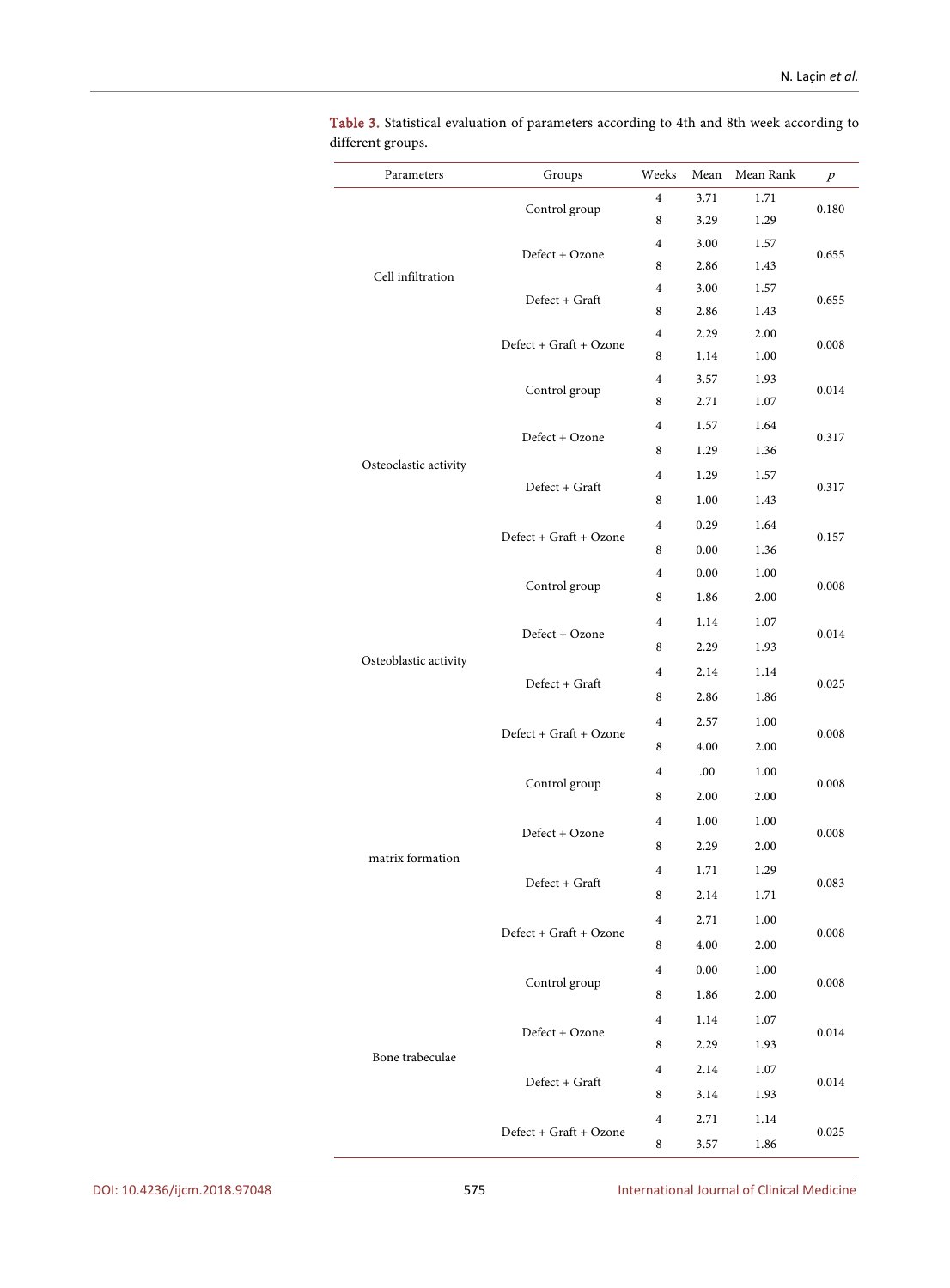| Parameters            | Groups                 | Weeks                   | Mean | Mean Rank | $\boldsymbol{p}$        |  |
|-----------------------|------------------------|-------------------------|------|-----------|-------------------------|--|
|                       | Control group          | $\overline{4}$          | 3.71 | 1.71      | 0.180                   |  |
|                       |                        | 8                       | 3.29 | 1.29      |                         |  |
|                       | Defect + Ozone         | $\overline{4}$          | 3.00 | 1.57      | 0.655                   |  |
| Cell infiltration     |                        | 8                       | 2.86 | 1.43      |                         |  |
|                       | Defect + Graft         | 4                       | 3.00 | 1.57      | 0.655                   |  |
|                       |                        | 8                       | 2.86 | 1.43      |                         |  |
|                       | Defect + Graft + Ozone | 4                       | 2.29 | 2.00      | 0.008                   |  |
|                       |                        | 8                       | 1.14 | 1.00      |                         |  |
|                       | Control group          | $\overline{4}$          | 3.57 | 1.93      | 0.014                   |  |
|                       |                        | 8                       | 2.71 | 1.07      |                         |  |
|                       | Defect + Ozone         | 4                       | 1.57 | 1.64      | 0.317<br>0.317<br>0.157 |  |
| Osteoclastic activity |                        | 8                       | 1.29 | 1.36      |                         |  |
|                       | Defect + Graft         | 4                       | 1.29 | 1.57      |                         |  |
|                       |                        | 8                       | 1.00 | 1.43      |                         |  |
|                       | Defect + Graft + Ozone | 4                       | 0.29 | 1.64      |                         |  |
|                       |                        | 8                       | 0.00 | 1.36      |                         |  |
|                       | Control group          | $\overline{4}$          | 0.00 | 1.00      | 0.008                   |  |
|                       |                        | 8                       | 1.86 | 2.00      |                         |  |
|                       |                        | $\overline{4}$          | 1.14 | 1.07      |                         |  |
|                       | Defect + Ozone         | 8                       | 2.29 | 1.93      | 0.014                   |  |
| Osteoblastic activity |                        | 4                       | 2.14 | 1.14      | 0.025                   |  |
|                       | Defect + Graft         | 8                       | 2.86 | 1.86      |                         |  |
|                       |                        | 4                       | 2.57 | 1.00      | 0.008<br>0.008          |  |
|                       | Defect + Graft + Ozone | 8                       | 4.00 | 2.00      |                         |  |
|                       |                        | 4                       | .00. | 1.00      |                         |  |
|                       | Control group          | 8                       | 2.00 | 2.00      |                         |  |
|                       |                        | 4                       | 1.00 | 1.00      | 0.008<br>0.083          |  |
|                       | Defect + Ozone         | 8                       | 2.29 | 2.00      |                         |  |
| matrix formation      |                        |                         |      |           |                         |  |
|                       | Defect + Graft         | 4                       | 1.71 | 1.29      |                         |  |
|                       |                        | 8                       | 2.14 | 1.71      |                         |  |
|                       | Defect + Graft + Ozone | $\overline{4}$          | 2.71 | 1.00      | 0.008                   |  |
|                       |                        | 8                       | 4.00 | 2.00      |                         |  |
|                       | Control group          | $\overline{\mathbf{4}}$ | 0.00 | 1.00      | 0.008                   |  |
|                       |                        | 8                       | 1.86 | 2.00      |                         |  |
|                       | Defect + Ozone         | $\overline{4}$          | 1.14 | 1.07      | 0.014                   |  |
| Bone trabeculae       |                        | 8                       | 2.29 | 1.93      |                         |  |
|                       | Defect + Graft         | $\overline{4}$          | 2.14 | 1.07      |                         |  |
|                       |                        | 8                       | 3.14 | 1.93      | 0.014                   |  |
|                       |                        | $\overline{4}$          | 2.71 | 1.14      |                         |  |
|                       | Defect + Graft + Ozone | $\,8\,$                 | 3.57 | 1.86      | 0.025                   |  |

<span id="page-9-0"></span>Table 3. Statistical evaluation of parameters according to 4th and 8th week according to different groups.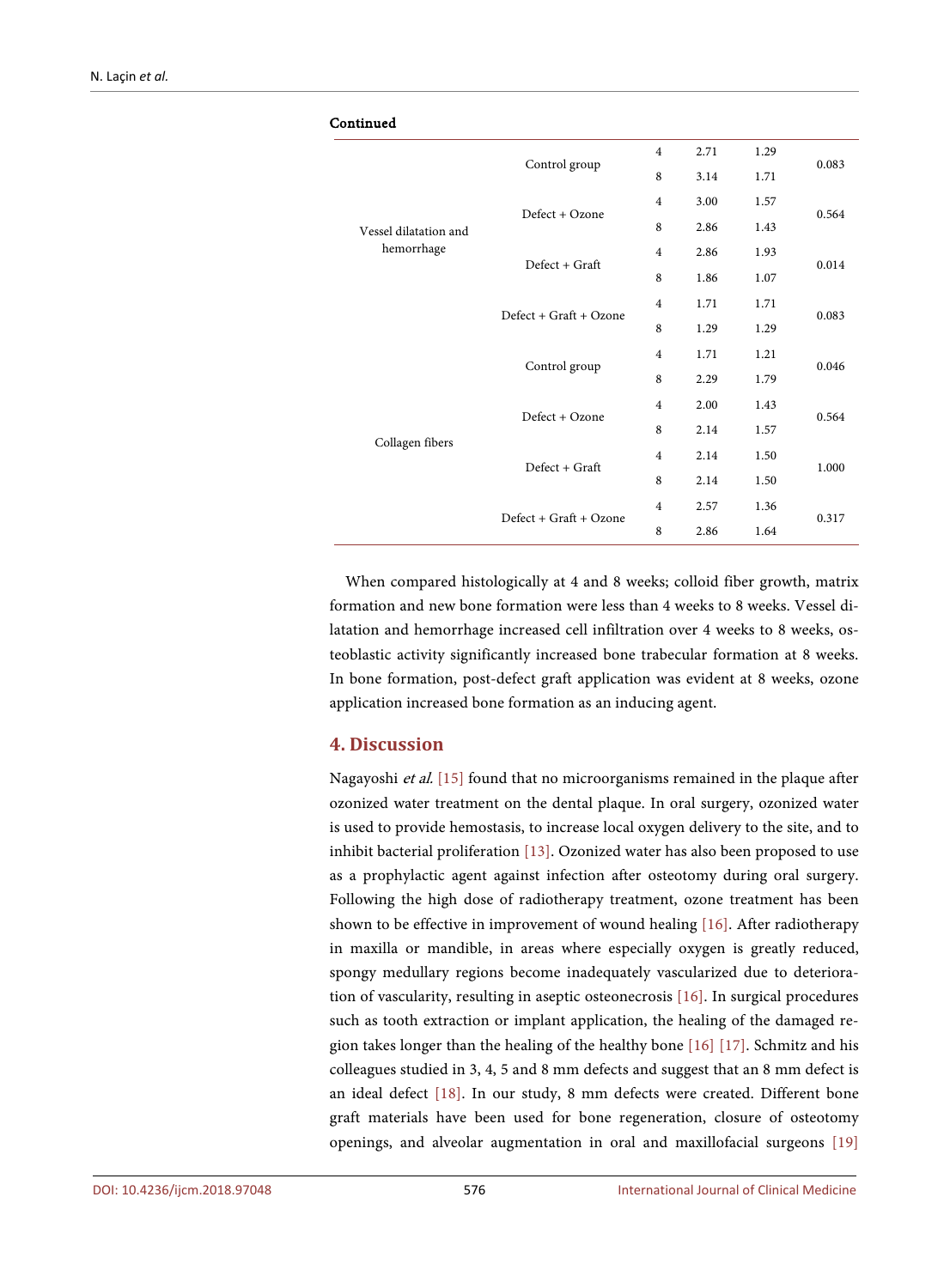| Continued             |                          |                |      |      |       |
|-----------------------|--------------------------|----------------|------|------|-------|
|                       |                          | $\overline{4}$ | 2.71 | 1.29 | 0.083 |
|                       | Control group            | 8              | 3.14 | 1.71 |       |
| Vessel dilatation and | Defect + Ozone           | $\overline{4}$ | 3.00 | 1.57 |       |
|                       |                          | 8              | 2.86 | 1.43 | 0.564 |
| hemorrhage            | Defect + Graft           | $\overline{4}$ | 2.86 | 1.93 | 0.014 |
|                       |                          | 8              | 1.86 | 1.07 |       |
|                       | $Defect + Graf + Ozone$  | $\overline{4}$ | 1.71 | 1.71 | 0.083 |
|                       |                          | 8              | 1.29 | 1.29 |       |
|                       | Control group            | $\overline{4}$ | 1.71 | 1.21 | 0.046 |
|                       |                          | 8              | 2.29 | 1.79 |       |
|                       | Defect + Ozone           | $\overline{4}$ | 2.00 | 1.43 | 0.564 |
|                       |                          | 8              | 2.14 | 1.57 |       |
| Collagen fibers       | $Defect + Grant$         | 4              | 2.14 | 1.50 | 1.000 |
|                       |                          | 8              | 2.14 | 1.50 |       |
|                       | $Defect + Grant + Oxone$ | $\overline{4}$ | 2.57 | 1.36 | 0.317 |
|                       |                          | 8              | 2.86 | 1.64 |       |

When compared histologically at 4 and 8 weeks; colloid fiber growth, matrix formation and new bone formation were less than 4 weeks to 8 weeks. Vessel dilatation and hemorrhage increased cell infiltration over 4 weeks to 8 weeks, osteoblastic activity significantly increased bone trabecular formation at 8 weeks. In bone formation, post-defect graft application was evident at 8 weeks, ozone application increased bone formation as an inducing agent.

# **4. Discussion**

Nagayoshi et al. [\[15\]](#page-13-0) found that no microorganisms remained in the plaque after ozonized water treatment on the dental plaque. In oral surgery, ozonized water is used to provide hemostasis, to increase local oxygen delivery to the site, and to inhibit bacterial proliferation [\[13\].](#page-12-12) Ozonized water has also been proposed to use as a prophylactic agent against infection after osteotomy during oral surgery. Following the high dose of radiotherapy treatment, ozone treatment has been shown to be effective in improvement of wound healing [\[16\].](#page-13-1) After radiotherapy in maxilla or mandible, in areas where especially oxygen is greatly reduced, spongy medullary regions become inadequately vascularized due to deterioration of vascularity, resulting in aseptic osteonecrosis [\[16\].](#page-13-1) In surgical procedures such as tooth extraction or implant application, the healing of the damaged region takes longer than the healing of the healthy bone [\[16\]](#page-13-1) [\[17\].](#page-13-2) Schmitz and his colleagues studied in 3, 4, 5 and 8 mm defects and suggest that an 8 mm defect is an ideal defect [\[18\].](#page-13-3) In our study, 8 mm defects were created. Different bone graft materials have been used for bone regeneration, closure of osteotomy openings, and alveolar augmentation in oral and maxillofacial surgeons [\[19\]](#page-13-4)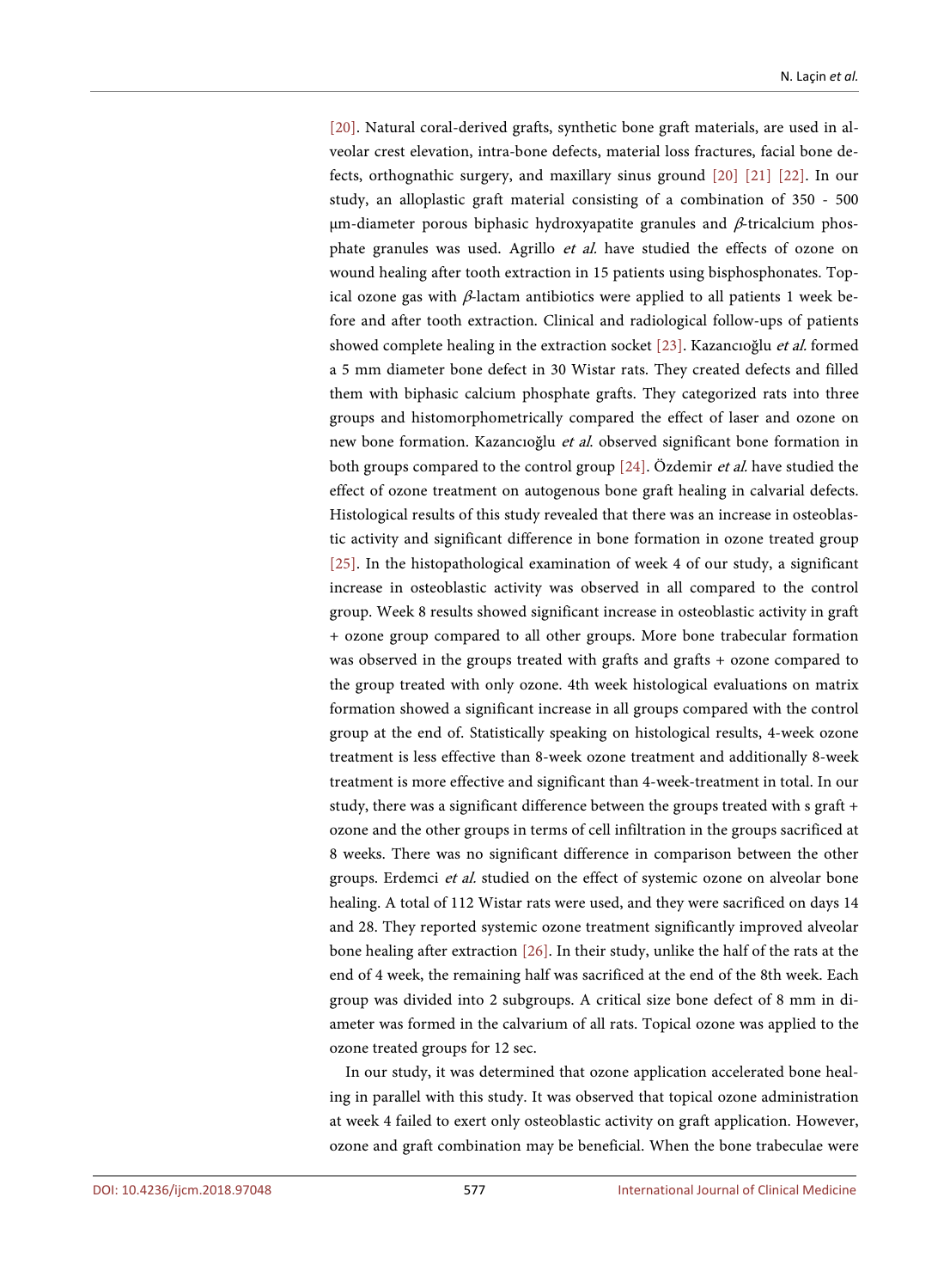[\[20\].](#page-13-5) Natural coral-derived grafts, synthetic bone graft materials, are used in alveolar crest elevation, intra-bone defects, material loss fractures, facial bone defects, orthognathic surgery, and maxillary sinus ground [\[20\]](#page-13-5) [\[21\]](#page-13-6) [\[22\].](#page-13-7) In our study, an alloplastic graft material consisting of a combination of 350 - 500 μm-diameter porous biphasic hydroxyapatite granules and  $β$ -tricalcium phosphate granules was used. Agrillo et al. have studied the effects of ozone on wound healing after tooth extraction in 15 patients using bisphosphonates. Topical ozone gas with  $β$ -lactam antibiotics were applied to all patients 1 week before and after tooth extraction. Clinical and radiological follow-ups of patients showed complete healing in the extraction socket [\[23\].](#page-13-8) Kazancıoğlu et al. formed a 5 mm diameter bone defect in 30 Wistar rats. They created defects and filled them with biphasic calcium phosphate grafts. They categorized rats into three groups and histomorphometrically compared the effect of laser and ozone on new bone formation. Kazancıoğlu et al. observed significant bone formation in both groups compared to the control group [\[24\].](#page-13-9) Özdemir et al. have studied the effect of ozone treatment on autogenous bone graft healing in calvarial defects. Histological results of this study revealed that there was an increase in osteoblastic activity and significant difference in bone formation in ozone treated group [\[25\].](#page-13-10) In the histopathological examination of week 4 of our study, a significant increase in osteoblastic activity was observed in all compared to the control group. Week 8 results showed significant increase in osteoblastic activity in graft + ozone group compared to all other groups. More bone trabecular formation was observed in the groups treated with grafts and grafts + ozone compared to the group treated with only ozone. 4th week histological evaluations on matrix formation showed a significant increase in all groups compared with the control group at the end of. Statistically speaking on histological results, 4-week ozone treatment is less effective than 8-week ozone treatment and additionally 8-week treatment is more effective and significant than 4-week-treatment in total. In our study, there was a significant difference between the groups treated with s graft + ozone and the other groups in terms of cell infiltration in the groups sacrificed at 8 weeks. There was no significant difference in comparison between the other groups. Erdemci et al. studied on the effect of systemic ozone on alveolar bone healing. A total of 112 Wistar rats were used, and they were sacrificed on days 14 and 28. They reported systemic ozone treatment significantly improved alveolar bone healing after extraction [\[26\].](#page-13-11) In their study, unlike the half of the rats at the end of 4 week, the remaining half was sacrificed at the end of the 8th week. Each group was divided into 2 subgroups. A critical size bone defect of 8 mm in diameter was formed in the calvarium of all rats. Topical ozone was applied to the ozone treated groups for 12 sec.

In our study, it was determined that ozone application accelerated bone healing in parallel with this study. It was observed that topical ozone administration at week 4 failed to exert only osteoblastic activity on graft application. However, ozone and graft combination may be beneficial. When the bone trabeculae were